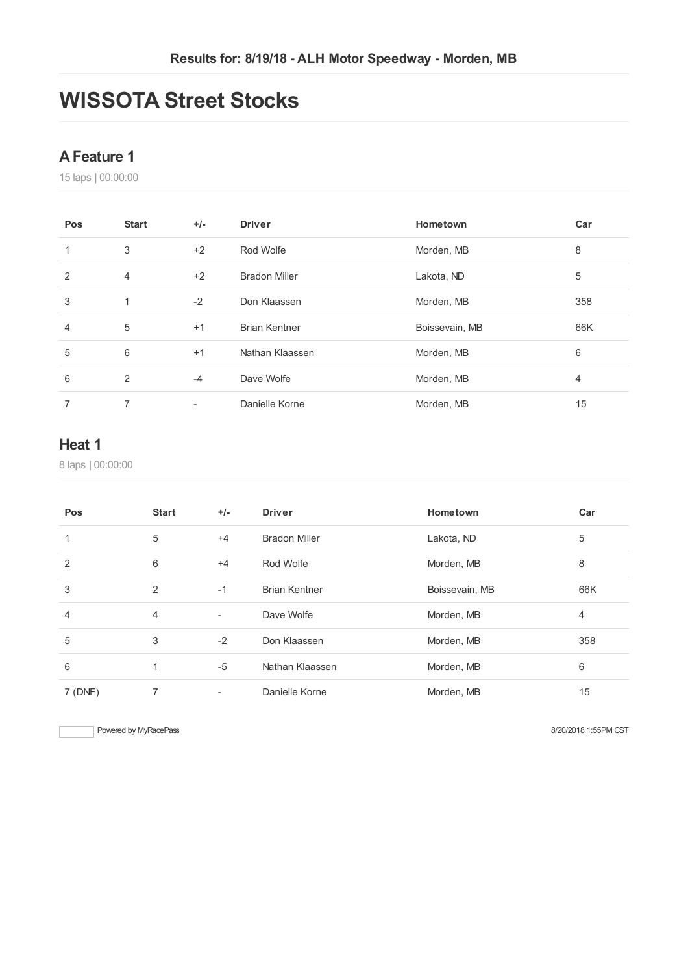# **WISSOTA Street Stocks**

#### **AFeature 1**

laps | 00:00:00

| Pos | <b>Start</b>   | $+/-$ | <b>Driver</b>        | Hometown       | Car |
|-----|----------------|-------|----------------------|----------------|-----|
| 1   | 3              | $+2$  | Rod Wolfe            | Morden, MB     | 8   |
| 2   | $\overline{4}$ | $+2$  | <b>Bradon Miller</b> | Lakota, ND     | 5   |
| 3   | 1              | $-2$  | Don Klaassen         | Morden, MB     | 358 |
| 4   | 5              | $+1$  | <b>Brian Kentner</b> | Boissevain, MB | 66K |
| 5   | 6              | $+1$  | Nathan Klaassen      | Morden, MB     | 6   |
| 6   | 2              | $-4$  | Dave Wolfe           | Morden, MB     | 4   |
| 7   | 7              |       | Danielle Korne       | Morden, MB     | 15  |

#### **Heat 1**

laps | 00:00:00

| Pos     | <b>Start</b> | $+/-$ | <b>Driver</b>        | Hometown       | Car |
|---------|--------------|-------|----------------------|----------------|-----|
|         | 5            | $+4$  | <b>Bradon Miller</b> | Lakota, ND     | 5   |
| 2       | 6            | $+4$  | Rod Wolfe            | Morden, MB     | 8   |
| 3       | 2            | $-1$  | <b>Brian Kentner</b> | Boissevain, MB | 66K |
| 4       | 4            | ۰     | Dave Wolfe           | Morden, MB     | 4   |
| 5       | 3            | $-2$  | Don Klaassen         | Morden, MB     | 358 |
| 6       | 1            | $-5$  | Nathan Klaassen      | Morden, MB     | 6   |
| 7 (DNF) |              | ٠     | Danielle Korne       | Morden, MB     | 15  |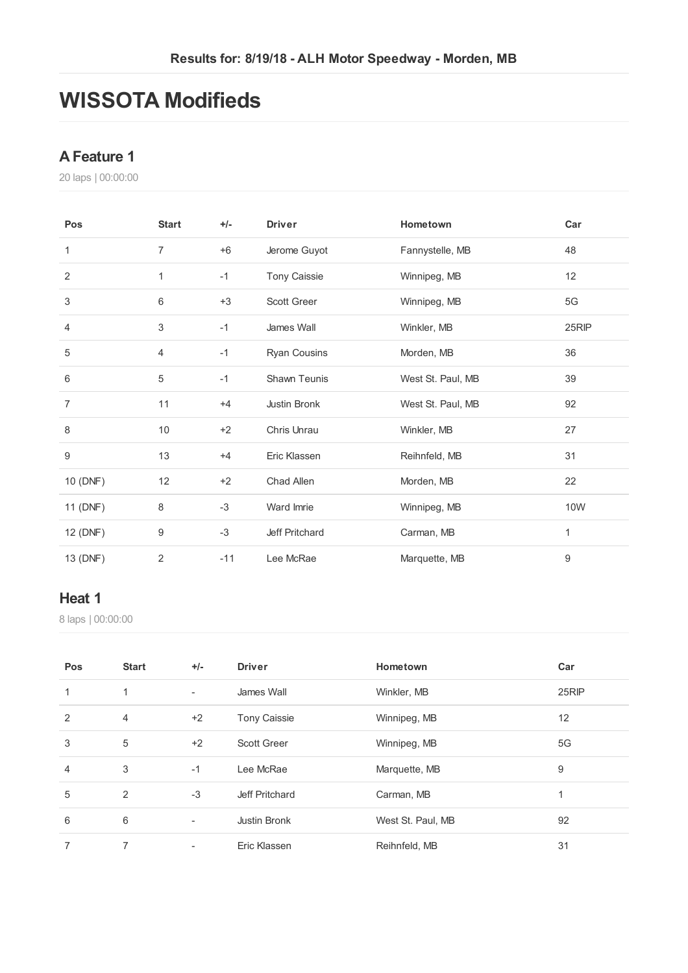# **WISSOTA Modifieds**

#### **AFeature 1**

laps | 00:00:00

| Pos              | <b>Start</b>   | $+/-$ | <b>Driver</b>       | Hometown          | Car   |
|------------------|----------------|-------|---------------------|-------------------|-------|
| 1                | $\overline{7}$ | $+6$  | Jerome Guyot        | Fannystelle, MB   | 48    |
| $\overline{2}$   | 1              | $-1$  | <b>Tony Caissie</b> | Winnipeg, MB      | 12    |
| 3                | $6\,$          | $+3$  | Scott Greer         | Winnipeg, MB      | 5G    |
| 4                | 3              | $-1$  | James Wall          | Winkler, MB       | 25RIP |
| 5                | $\overline{4}$ | $-1$  | Ryan Cousins        | Morden, MB        | 36    |
| 6                | 5              | $-1$  | Shawn Teunis        | West St. Paul, MB | 39    |
| $\overline{7}$   | 11             | $+4$  | Justin Bronk        | West St. Paul, MB | 92    |
| 8                | 10             | $+2$  | Chris Unrau         | Winkler, MB       | 27    |
| $\boldsymbol{9}$ | 13             | $+4$  | Eric Klassen        | Reihnfeld, MB     | 31    |
| 10 (DNF)         | 12             | $+2$  | Chad Allen          | Morden, MB        | 22    |
| 11 (DNF)         | 8              | $-3$  | Ward Imrie          | Winnipeg, MB      | 10W   |
| 12 (DNF)         | 9              | $-3$  | Jeff Pritchard      | Carman, MB        | 1     |
| 13 (DNF)         | 2              | $-11$ | Lee McRae           | Marquette, MB     | 9     |

#### **Heat 1**

| Pos | <b>Start</b>   | $+/-$                    | <b>Driver</b>       | Hometown          | Car   |
|-----|----------------|--------------------------|---------------------|-------------------|-------|
| 1   | 1              | $\qquad \qquad -$        | James Wall          | Winkler, MB       | 25RIP |
| 2   | $\overline{4}$ | $+2$                     | <b>Tony Caissie</b> | Winnipeg, MB      | 12    |
| 3   | 5              | $+2$                     | <b>Scott Greer</b>  | Winnipeg, MB      | 5G    |
| 4   | 3              | $-1$                     | Lee McRae           | Marquette, MB     | 9     |
| 5   | 2              | $-3$                     | Jeff Pritchard      | Carman, MB        | 1     |
| 6   | 6              | $\overline{\phantom{a}}$ | Justin Bronk        | West St. Paul, MB | 92    |
| 7   | 7              | ٠                        | Eric Klassen        | Reihnfeld, MB     | 31    |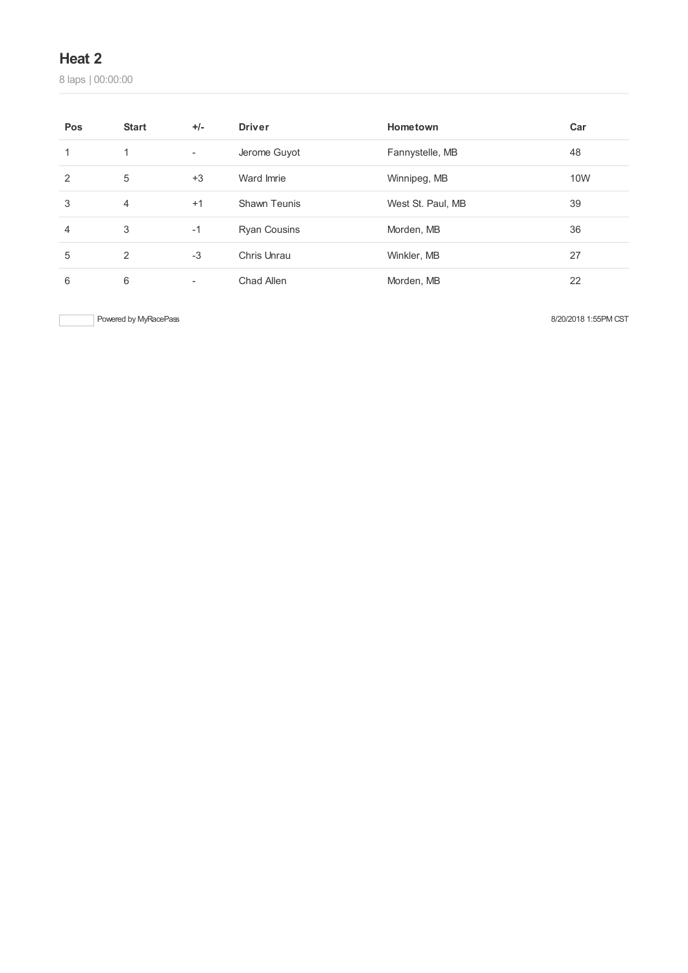laps | 00:00:00

| Pos | <b>Start</b>   | $+/-$ | <b>Driver</b>       | Hometown          | Car |
|-----|----------------|-------|---------------------|-------------------|-----|
|     | 1              | -     | Jerome Guyot        | Fannystelle, MB   | 48  |
| 2   | 5              | $+3$  | Ward Imrie          | Winnipeg, MB      | 10W |
| 3   | $\overline{4}$ | $+1$  | <b>Shawn Teunis</b> | West St. Paul, MB | 39  |
| 4   | 3              | $-1$  | <b>Ryan Cousins</b> | Morden, MB        | 36  |
| 5   | 2              | $-3$  | Chris Unrau         | Winkler, MB       | 27  |
| 6   | 6              |       | Chad Allen          | Morden, MB        | 22  |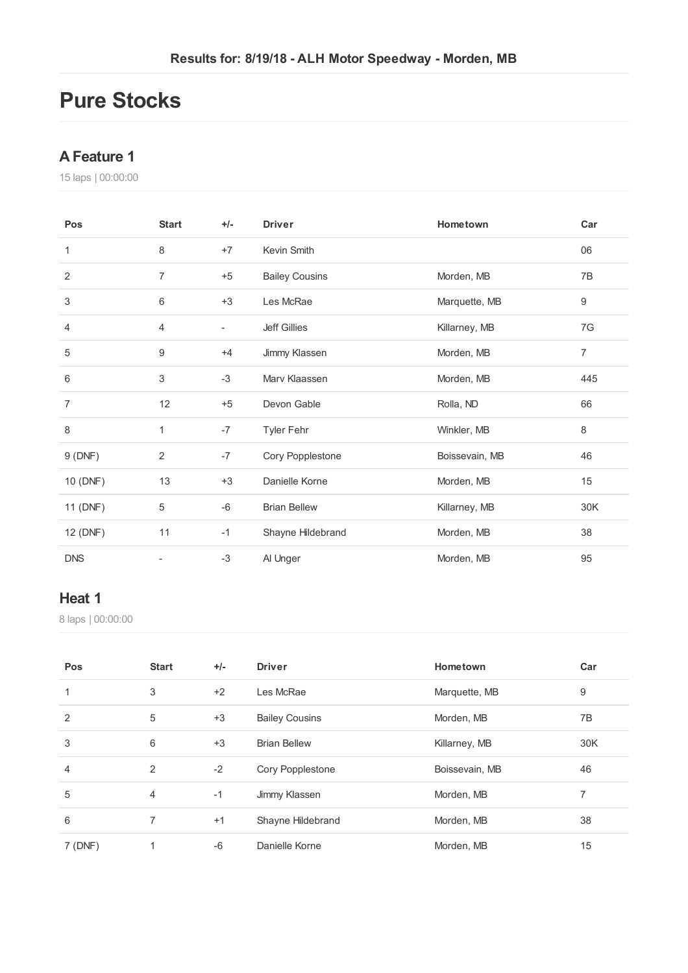# **Pure Stocks**

#### **AFeature 1**

laps | 00:00:00

| Pos            | <b>Start</b> | $+/-$                    | <b>Driver</b>         | Hometown       | Car            |
|----------------|--------------|--------------------------|-----------------------|----------------|----------------|
| 1              | 8            | $+7$                     | Kevin Smith           |                | 06             |
| $\overline{2}$ | 7            | $+5$                     | <b>Bailey Cousins</b> | Morden, MB     | 7B             |
| 3              | 6            | $+3$                     | Les McRae             | Marquette, MB  | 9              |
| 4              | 4            | $\overline{\phantom{a}}$ | <b>Jeff Gillies</b>   | Killarney, MB  | 7G             |
| 5              | 9            | $+4$                     | Jimmy Klassen         | Morden, MB     | $\overline{7}$ |
| 6              | 3            | $-3$                     | Mary Klaassen         | Morden, MB     | 445            |
| $\overline{7}$ | 12           | $+5$                     | Devon Gable           | Rolla, ND      | 66             |
| 8              | 1            | $-7$                     | Tyler Fehr            | Winkler, MB    | 8              |
| 9(DNF)         | 2            | $-7$                     | Cory Popplestone      | Boissevain, MB | 46             |
| 10 (DNF)       | 13           | $+3$                     | Danielle Korne        | Morden, MB     | 15             |
| 11 (DNF)       | 5            | $-6$                     | <b>Brian Bellew</b>   | Killarney, MB  | 30K            |
| 12 (DNF)       | 11           | $-1$                     | Shayne Hildebrand     | Morden, MB     | 38             |
| <b>DNS</b>     |              | $-3$                     | Al Unger              | Morden, MB     | 95             |

#### **Heat 1**

| Pos            | <b>Start</b> | $+/-$ | <b>Driver</b>         | Hometown       | Car |
|----------------|--------------|-------|-----------------------|----------------|-----|
|                | 3            | $+2$  | Les McRae             | Marquette, MB  | 9   |
| $\overline{2}$ | 5            | $+3$  | <b>Bailey Cousins</b> | Morden, MB     | 7В  |
| 3              | 6            | $+3$  | <b>Brian Bellew</b>   | Killarney, MB  | 30K |
| 4              | 2            | $-2$  | Cory Popplestone      | Boissevain, MB | 46  |
| 5              | 4            | $-1$  | Jimmy Klassen         | Morden, MB     | 7   |
| 6              | 7            | $+1$  | Shayne Hildebrand     | Morden, MB     | 38  |
| 7(DNF)         |              | -6    | Danielle Korne        | Morden, MB     | 15  |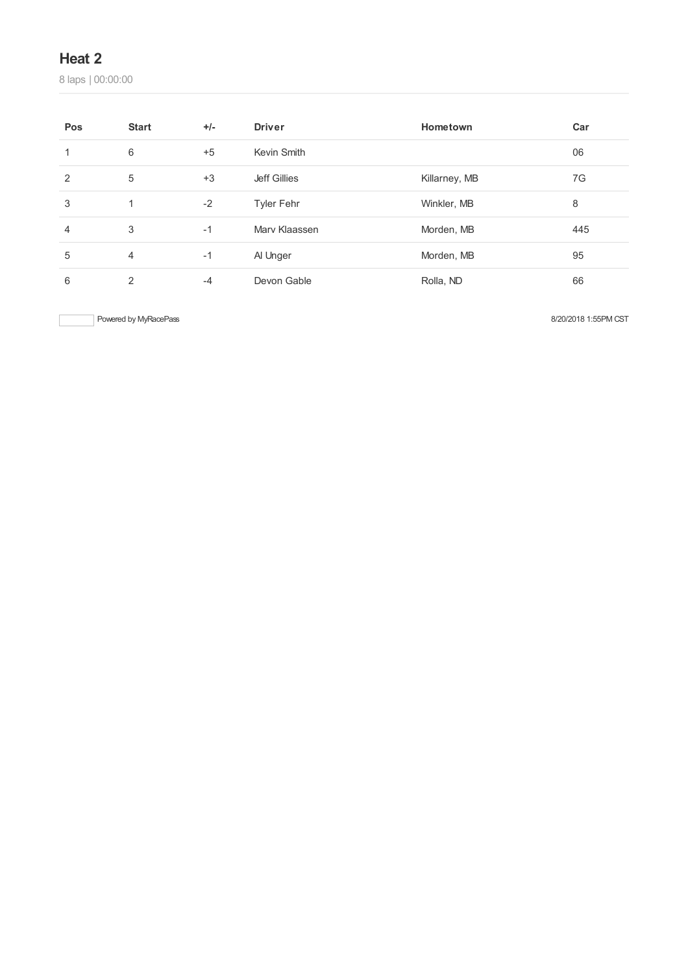laps | 00:00:00

| Pos            | <b>Start</b>   | $+/-$ | <b>Driver</b>       | Hometown      | Car |
|----------------|----------------|-------|---------------------|---------------|-----|
| 1              | 6              | $+5$  | Kevin Smith         |               | 06  |
| 2              | 5              | $+3$  | <b>Jeff Gillies</b> | Killarney, MB | 7G  |
| 3              | 1              | $-2$  | <b>Tyler Fehr</b>   | Winkler, MB   | 8   |
| $\overline{4}$ | 3              | $-1$  | Mary Klaassen       | Morden, MB    | 445 |
| 5              | 4              | $-1$  | Al Unger            | Morden, MB    | 95  |
| 6              | $\overline{2}$ | $-4$  | Devon Gable         | Rolla, ND     | 66  |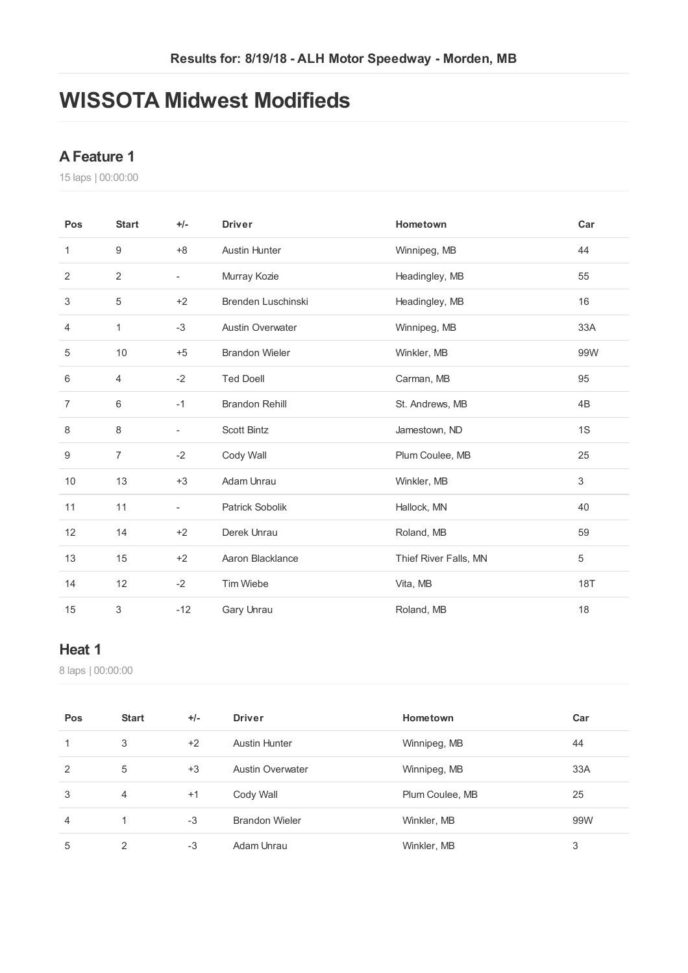# **WISSOTA Midwest Modifieds**

#### **AFeature 1**

laps | 00:00:00

| Pos | <b>Start</b>     | $+/-$                    | <b>Driver</b>           | Hometown              | Car                       |
|-----|------------------|--------------------------|-------------------------|-----------------------|---------------------------|
| 1   | $\boldsymbol{9}$ | $+8$                     | <b>Austin Hunter</b>    | Winnipeg, MB          | 44                        |
| 2   | $\overline{2}$   | $\overline{\phantom{a}}$ | Murray Kozie            | Headingley, MB        | 55                        |
| 3   | $\sqrt{5}$       | $+2$                     | Brenden Luschinski      | Headingley, MB        | 16                        |
| 4   | 1                | $-3$                     | <b>Austin Overwater</b> | Winnipeg, MB          | 33A                       |
| 5   | 10               | $+5$                     | <b>Brandon Wieler</b>   | Winkler, MB           | 99W                       |
| 6   | 4                | $-2$                     | <b>Ted Doell</b>        | Carman, MB            | 95                        |
| 7   | $6\,$            | $-1$                     | <b>Brandon Rehill</b>   | St. Andrews, MB       | 4B                        |
| 8   | $\,8\,$          | $\overline{\phantom{a}}$ | <b>Scott Bintz</b>      | Jamestown, ND         | 1S                        |
| 9   | $\overline{7}$   | $-2$                     | Cody Wall               | Plum Coulee, MB       | 25                        |
| 10  | 13               | $+3$                     | Adam Unrau              | Winkler, MB           | $\ensuremath{\mathsf{3}}$ |
| 11  | 11               | $\overline{\phantom{a}}$ | Patrick Sobolik         | Hallock, MN           | 40                        |
| 12  | 14               | $+2$                     | Derek Unrau             | Roland, MB            | 59                        |
| 13  | 15               | $+2$                     | Aaron Blacklance        | Thief River Falls, MN | 5                         |
| 14  | 12               | $-2$                     | Tim Wiebe               | Vita, MB              | <b>18T</b>                |
| 15  | 3                | $-12$                    | Gary Unrau              | Roland, MB            | 18                        |

#### **Heat 1**

| Pos | <b>Start</b> | $+/-$ | <b>Driver</b>           | Hometown        | Car |
|-----|--------------|-------|-------------------------|-----------------|-----|
| 1   | 3            | $+2$  | <b>Austin Hunter</b>    | Winnipeg, MB    | 44  |
| 2   | 5            | $+3$  | <b>Austin Overwater</b> | Winnipeg, MB    | 33A |
| 3   | 4            | $+1$  | Cody Wall               | Plum Coulee, MB | 25  |
| 4   | 1            | $-3$  | <b>Brandon Wieler</b>   | Winkler, MB     | 99W |
| 5   | 2            | $-3$  | Adam Unrau              | Winkler, MB     | 3   |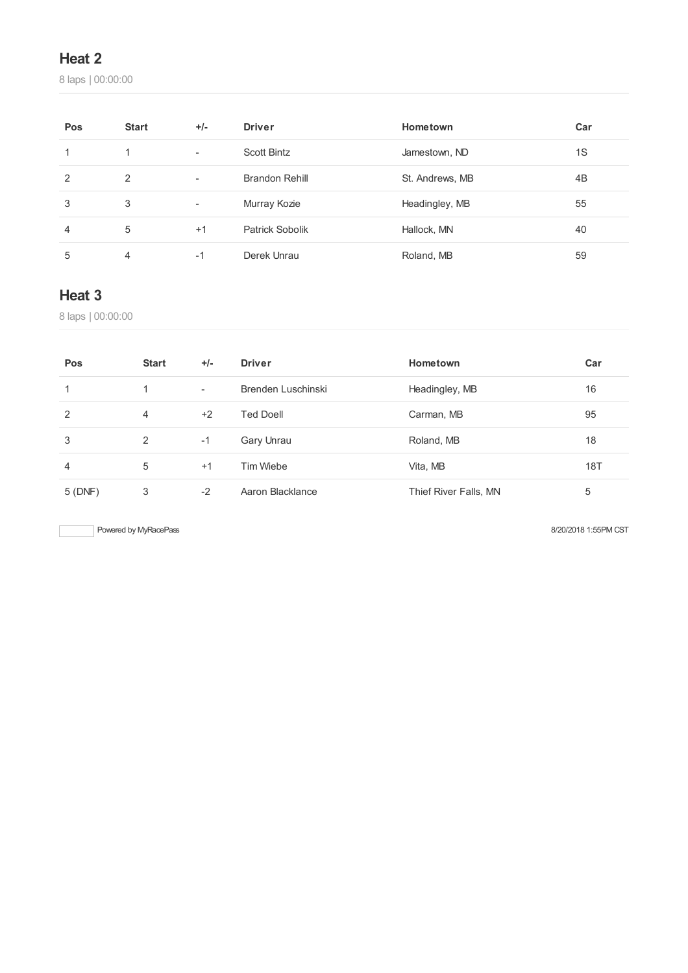laps | 00:00:00

| Pos | <b>Start</b> | $+/-$                    | <b>Driver</b>   | Hometown        | Car |
|-----|--------------|--------------------------|-----------------|-----------------|-----|
|     | 1            | $\overline{\phantom{a}}$ | Scott Bintz     | Jamestown, ND   | 1S  |
| 2   | 2            | $\overline{\phantom{a}}$ | Brandon Rehill  | St. Andrews, MB | 4B  |
| 3   | 3            | $\overline{\phantom{a}}$ | Murray Kozie    | Headingley, MB  | 55  |
| 4   | 5            | $+1$                     | Patrick Sobolik | Hallock, MN     | 40  |
| 5   | 4            | $-1$                     | Derek Unrau     | Roland, MB      | 59  |

### **Heat 3**

laps | 00:00:00

| Pos    | <b>Start</b> | $+/-$                    | <b>Driver</b>      | Hometown              | Car |
|--------|--------------|--------------------------|--------------------|-----------------------|-----|
|        |              | $\overline{\phantom{a}}$ | Brenden Luschinski | Headingley, MB        | 16  |
| 2      | 4            | $+2$                     | <b>Ted Doell</b>   | Carman, MB            | 95  |
| 3      | 2            | $-1$                     | Gary Unrau         | Roland, MB            | 18  |
| 4      | 5            | $+1$                     | Tim Wiebe          | Vita, MB              | 18T |
| 5(DNF) | 3            | $-2$                     | Aaron Blacklance   | Thief River Falls, MN | 5   |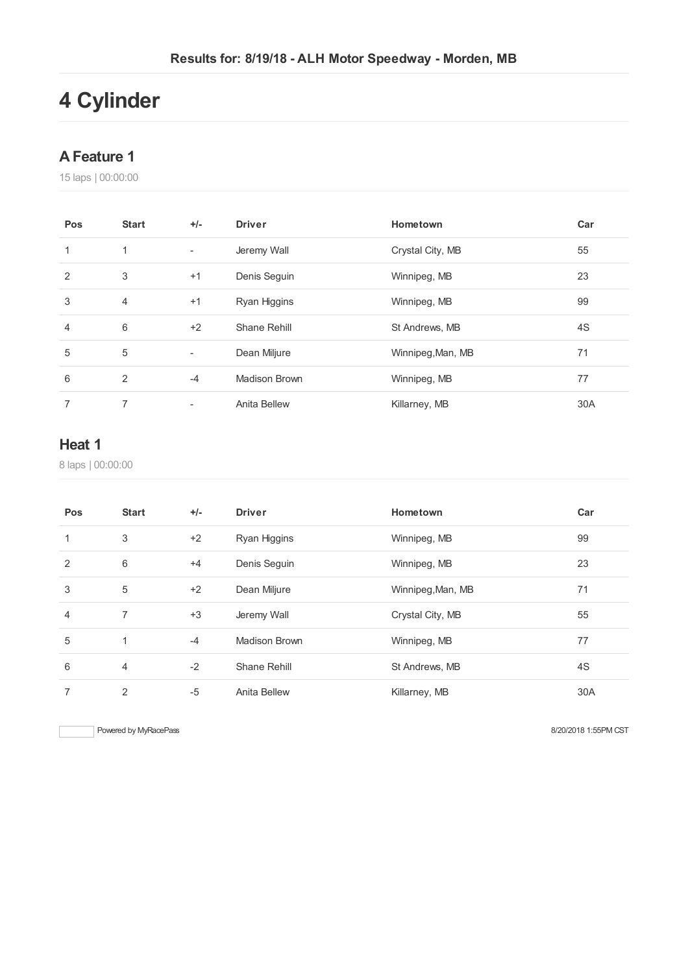# **Cylinder**

#### **AFeature 1**

laps | 00:00:00

| Pos | <b>Start</b>   | $+/-$                    | <b>Driver</b> | Hometown          | Car |
|-----|----------------|--------------------------|---------------|-------------------|-----|
| 1   | 1              | $\overline{\phantom{a}}$ | Jeremy Wall   | Crystal City, MB  | 55  |
| 2   | 3              | $+1$                     | Denis Seguin  | Winnipeg, MB      | 23  |
| 3   | $\overline{4}$ | $+1$                     | Ryan Higgins  | Winnipeg, MB      | 99  |
| 4   | 6              | $+2$                     | Shane Rehill  | St Andrews, MB    | 4S  |
| 5   | 5              | $\overline{\phantom{a}}$ | Dean Miljure  | Winnipeg, Man, MB | 71  |
| 6   | 2              | $-4$                     | Madison Brown | Winnipeg, MB      | 77  |
| 7   | 7              | -                        | Anita Bellew  | Killarney, MB     | 30A |

### **Heat 1**

laps | 00:00:00

| Pos            | <b>Start</b>   | $+/-$ | <b>Driver</b>        | Hometown          | Car |
|----------------|----------------|-------|----------------------|-------------------|-----|
| 1              | 3              | $+2$  | Ryan Higgins         | Winnipeg, MB      | 99  |
| 2              | 6              | $+4$  | Denis Seguin         | Winnipeg, MB      | 23  |
| 3              | 5              | $+2$  | Dean Miljure         | Winnipeg, Man, MB | 71  |
| $\overline{4}$ | $\overline{7}$ | $+3$  | Jeremy Wall          | Crystal City, MB  | 55  |
| 5              | 1              | $-4$  | <b>Madison Brown</b> | Winnipeg, MB      | 77  |
| 6              | $\overline{4}$ | $-2$  | Shane Rehill         | St Andrews, MB    | 4S  |
| 7              | $\overline{2}$ | $-5$  | Anita Bellew         | Killarney, MB     | 30A |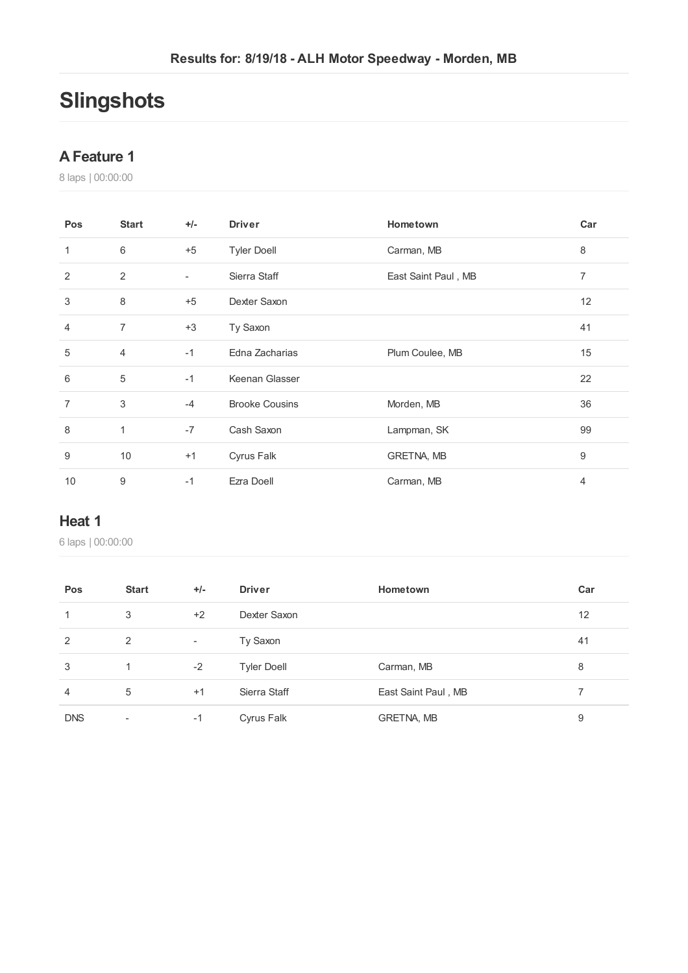# **Slingshots**

#### **AFeature 1**

laps | 00:00:00

| Pos            | <b>Start</b>     | $+/-$ | <b>Driver</b>         | Hometown            | Car            |
|----------------|------------------|-------|-----------------------|---------------------|----------------|
| 1              | 6                | $+5$  | <b>Tyler Doell</b>    | Carman, MB          | 8              |
| 2              | 2                | ٠     | Sierra Staff          | East Saint Paul, MB | $\overline{7}$ |
| 3              | 8                | $+5$  | Dexter Saxon          |                     | 12             |
| $\overline{4}$ | $\overline{7}$   | $+3$  | Ty Saxon              |                     | 41             |
| 5              | $\overline{4}$   | $-1$  | Edna Zacharias        | Plum Coulee, MB     | 15             |
| 6              | $\overline{5}$   | $-1$  | Keenan Glasser        |                     | 22             |
| $\overline{7}$ | 3                | $-4$  | <b>Brooke Cousins</b> | Morden, MB          | 36             |
| 8              | 1                | $-7$  | Cash Saxon            | Lampman, SK         | 99             |
| 9              | 10               | $+1$  | Cyrus Falk            | GRETNA, MB          | 9              |
| 10             | $\boldsymbol{9}$ | $-1$  | Ezra Doell            | Carman, MB          | $\overline{4}$ |

#### **Heat 1**

| Pos            | <b>Start</b>             | $+/-$                    | <b>Driver</b>      | Hometown            | Car |
|----------------|--------------------------|--------------------------|--------------------|---------------------|-----|
|                | 3                        | $+2$                     | Dexter Saxon       |                     | 12  |
| 2              | 2                        | $\overline{\phantom{a}}$ | Ty Saxon           |                     | 41  |
| 3              | 1.                       | $-2$                     | <b>Tyler Doell</b> | Carman, MB          | 8   |
| $\overline{4}$ | 5                        | $+1$                     | Sierra Staff       | East Saint Paul, MB |     |
| <b>DNS</b>     | $\overline{\phantom{a}}$ | $-1$                     | Cyrus Falk         | GRETNA, MB          | 9   |